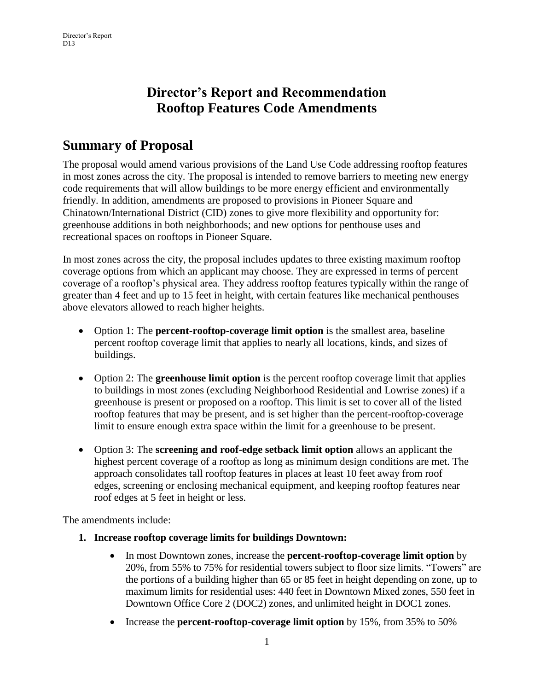# **Director's Report and Recommendation Rooftop Features Code Amendments**

# **Summary of Proposal**

The proposal would amend various provisions of the Land Use Code addressing rooftop features in most zones across the city. The proposal is intended to remove barriers to meeting new energy code requirements that will allow buildings to be more energy efficient and environmentally friendly. In addition, amendments are proposed to provisions in Pioneer Square and Chinatown/International District (CID) zones to give more flexibility and opportunity for: greenhouse additions in both neighborhoods; and new options for penthouse uses and recreational spaces on rooftops in Pioneer Square.

In most zones across the city, the proposal includes updates to three existing maximum rooftop coverage options from which an applicant may choose. They are expressed in terms of percent coverage of a rooftop's physical area. They address rooftop features typically within the range of greater than 4 feet and up to 15 feet in height, with certain features like mechanical penthouses above elevators allowed to reach higher heights.

- Option 1: The **percent-rooftop-coverage limit option** is the smallest area, baseline percent rooftop coverage limit that applies to nearly all locations, kinds, and sizes of buildings.
- Option 2: The **greenhouse limit option** is the percent rooftop coverage limit that applies to buildings in most zones (excluding Neighborhood Residential and Lowrise zones) if a greenhouse is present or proposed on a rooftop. This limit is set to cover all of the listed rooftop features that may be present, and is set higher than the percent-rooftop-coverage limit to ensure enough extra space within the limit for a greenhouse to be present.
- Option 3: The **screening and roof-edge setback limit option** allows an applicant the highest percent coverage of a rooftop as long as minimum design conditions are met. The approach consolidates tall rooftop features in places at least 10 feet away from roof edges, screening or enclosing mechanical equipment, and keeping rooftop features near roof edges at 5 feet in height or less.

The amendments include:

- **1. Increase rooftop coverage limits for buildings Downtown:**
	- In most Downtown zones, increase the **percent-rooftop-coverage limit option** by 20%, from 55% to 75% for residential towers subject to floor size limits. "Towers" are the portions of a building higher than 65 or 85 feet in height depending on zone, up to maximum limits for residential uses: 440 feet in Downtown Mixed zones, 550 feet in Downtown Office Core 2 (DOC2) zones, and unlimited height in DOC1 zones.
	- Increase the **percent-rooftop-coverage limit option** by 15%, from 35% to 50%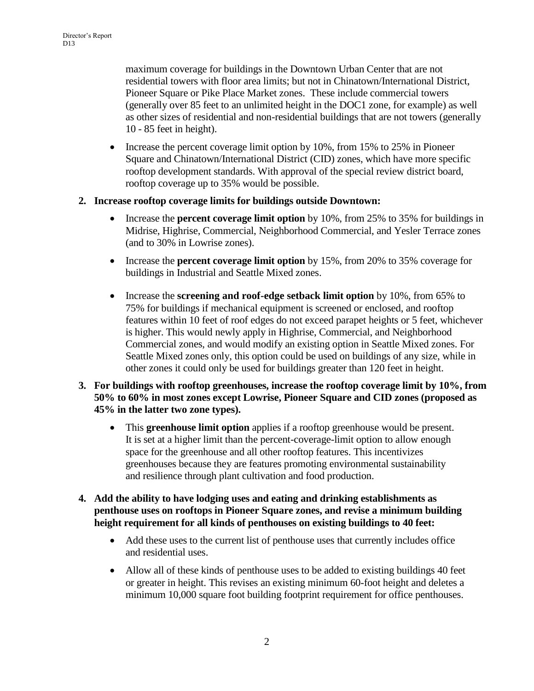maximum coverage for buildings in the Downtown Urban Center that are not residential towers with floor area limits; but not in Chinatown/International District, Pioneer Square or Pike Place Market zones. These include commercial towers (generally over 85 feet to an unlimited height in the DOC1 zone, for example) as well as other sizes of residential and non-residential buildings that are not towers (generally 10 - 85 feet in height).

• Increase the percent coverage limit option by 10%, from 15% to 25% in Pioneer Square and Chinatown/International District (CID) zones, which have more specific rooftop development standards. With approval of the special review district board, rooftop coverage up to 35% would be possible.

#### **2. Increase rooftop coverage limits for buildings outside Downtown:**

- Increase the **percent coverage limit option** by 10%, from 25% to 35% for buildings in Midrise, Highrise, Commercial, Neighborhood Commercial, and Yesler Terrace zones (and to 30% in Lowrise zones).
- Increase the **percent coverage limit option** by 15%, from 20% to 35% coverage for buildings in Industrial and Seattle Mixed zones.
- Increase the **screening and roof-edge setback limit option** by 10%, from 65% to 75% for buildings if mechanical equipment is screened or enclosed, and rooftop features within 10 feet of roof edges do not exceed parapet heights or 5 feet, whichever is higher. This would newly apply in Highrise, Commercial, and Neighborhood Commercial zones, and would modify an existing option in Seattle Mixed zones. For Seattle Mixed zones only, this option could be used on buildings of any size, while in other zones it could only be used for buildings greater than 120 feet in height.
- **3. For buildings with rooftop greenhouses, increase the rooftop coverage limit by 10%, from 50% to 60% in most zones except Lowrise, Pioneer Square and CID zones (proposed as 45% in the latter two zone types).**
	- This **greenhouse limit option** applies if a rooftop greenhouse would be present. It is set at a higher limit than the percent-coverage-limit option to allow enough space for the greenhouse and all other rooftop features. This incentivizes greenhouses because they are features promoting environmental sustainability and resilience through plant cultivation and food production.
- **4. Add the ability to have lodging uses and eating and drinking establishments as penthouse uses on rooftops in Pioneer Square zones, and revise a minimum building height requirement for all kinds of penthouses on existing buildings to 40 feet:**
	- Add these uses to the current list of penthouse uses that currently includes office and residential uses.
	- Allow all of these kinds of penthouse uses to be added to existing buildings 40 feet or greater in height. This revises an existing minimum 60-foot height and deletes a minimum 10,000 square foot building footprint requirement for office penthouses.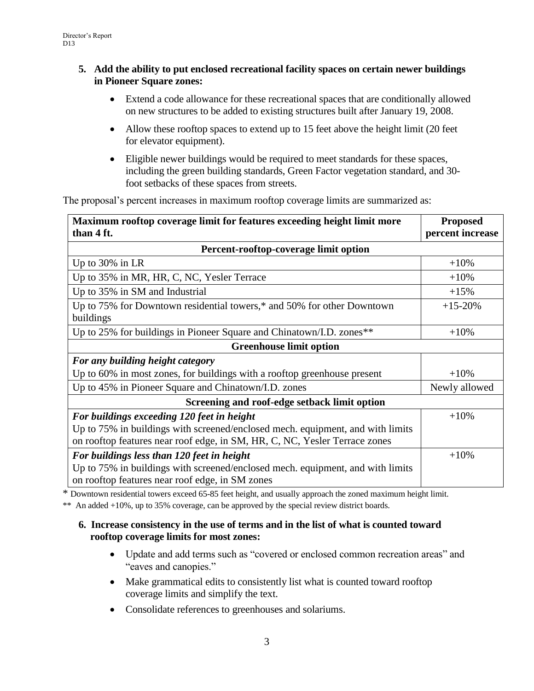#### **5. Add the ability to put enclosed recreational facility spaces on certain newer buildings in Pioneer Square zones:**

- Extend a code allowance for these recreational spaces that are conditionally allowed on new structures to be added to existing structures built after January 19, 2008.
- Allow these rooftop spaces to extend up to 15 feet above the height limit (20 feet for elevator equipment).
- Eligible newer buildings would be required to meet standards for these spaces, including the green building standards, Green Factor vegetation standard, and 30 foot setbacks of these spaces from streets.

The proposal's percent increases in maximum rooftop coverage limits are summarized as:

| Maximum rooftop coverage limit for features exceeding height limit more        | <b>Proposed</b>  |  |  |  |
|--------------------------------------------------------------------------------|------------------|--|--|--|
| than 4 ft.                                                                     | percent increase |  |  |  |
| Percent-rooftop-coverage limit option                                          |                  |  |  |  |
| Up to $30\%$ in LR                                                             | $+10%$           |  |  |  |
| Up to 35% in MR, HR, C, NC, Yesler Terrace                                     | $+10%$           |  |  |  |
| Up to 35% in SM and Industrial                                                 | $+15%$           |  |  |  |
| Up to 75% for Downtown residential towers,* and 50% for other Downtown         | $+15-20%$        |  |  |  |
| buildings                                                                      |                  |  |  |  |
| Up to 25% for buildings in Pioneer Square and Chinatown/I.D. zones**           | $+10%$           |  |  |  |
| <b>Greenhouse limit option</b>                                                 |                  |  |  |  |
| For any building height category                                               |                  |  |  |  |
| Up to 60% in most zones, for buildings with a rooftop greenhouse present       | $+10%$           |  |  |  |
| Up to 45% in Pioneer Square and Chinatown/I.D. zones                           | Newly allowed    |  |  |  |
| Screening and roof-edge setback limit option                                   |                  |  |  |  |
| For buildings exceeding 120 feet in height                                     | $+10%$           |  |  |  |
| Up to 75% in buildings with screened/enclosed mech. equipment, and with limits |                  |  |  |  |
| on rooftop features near roof edge, in SM, HR, C, NC, Yesler Terrace zones     |                  |  |  |  |
| For buildings less than 120 feet in height                                     | $+10%$           |  |  |  |
| Up to 75% in buildings with screened/enclosed mech. equipment, and with limits |                  |  |  |  |
| on rooftop features near roof edge, in SM zones                                |                  |  |  |  |

\* Downtown residential towers exceed 65-85 feet height, and usually approach the zoned maximum height limit.

\*\* An added +10%, up to 35% coverage, can be approved by the special review district boards.

#### **6. Increase consistency in the use of terms and in the list of what is counted toward rooftop coverage limits for most zones:**

- Update and add terms such as "covered or enclosed common recreation areas" and "eaves and canopies."
- Make grammatical edits to consistently list what is counted toward rooftop coverage limits and simplify the text.
- Consolidate references to greenhouses and solariums.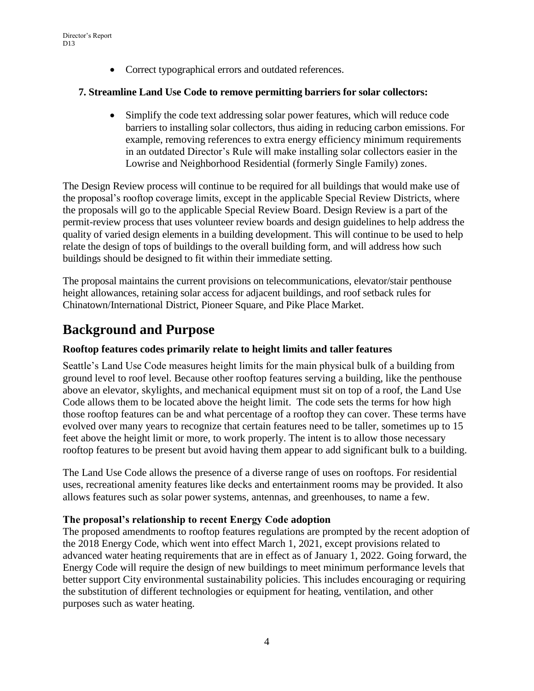Correct typographical errors and outdated references.

#### **7. Streamline Land Use Code to remove permitting barriers for solar collectors:**

 Simplify the code text addressing solar power features, which will reduce code barriers to installing solar collectors, thus aiding in reducing carbon emissions. For example, removing references to extra energy efficiency minimum requirements in an outdated Director's Rule will make installing solar collectors easier in the Lowrise and Neighborhood Residential (formerly Single Family) zones.

The Design Review process will continue to be required for all buildings that would make use of the proposal's rooftop coverage limits, except in the applicable Special Review Districts, where the proposals will go to the applicable Special Review Board. Design Review is a part of the permit-review process that uses volunteer review boards and design guidelines to help address the quality of varied design elements in a building development. This will continue to be used to help relate the design of tops of buildings to the overall building form, and will address how such buildings should be designed to fit within their immediate setting.

The proposal maintains the current provisions on telecommunications, elevator/stair penthouse height allowances, retaining solar access for adjacent buildings, and roof setback rules for Chinatown/International District, Pioneer Square, and Pike Place Market.

# **Background and Purpose**

#### **Rooftop features codes primarily relate to height limits and taller features**

Seattle's Land Use Code measures height limits for the main physical bulk of a building from ground level to roof level. Because other rooftop features serving a building, like the penthouse above an elevator, skylights, and mechanical equipment must sit on top of a roof, the Land Use Code allows them to be located above the height limit. The code sets the terms for how high those rooftop features can be and what percentage of a rooftop they can cover. These terms have evolved over many years to recognize that certain features need to be taller, sometimes up to 15 feet above the height limit or more, to work properly. The intent is to allow those necessary rooftop features to be present but avoid having them appear to add significant bulk to a building.

The Land Use Code allows the presence of a diverse range of uses on rooftops. For residential uses, recreational amenity features like decks and entertainment rooms may be provided. It also allows features such as solar power systems, antennas, and greenhouses, to name a few.

#### **The proposal's relationship to recent Energy Code adoption**

The proposed amendments to rooftop features regulations are prompted by the recent adoption of the 2018 Energy Code, which went into effect March 1, 2021, except provisions related to advanced water heating requirements that are in effect as of January 1, 2022. Going forward, the Energy Code will require the design of new buildings to meet minimum performance levels that better support City environmental sustainability policies. This includes encouraging or requiring the substitution of different technologies or equipment for heating, ventilation, and other purposes such as water heating.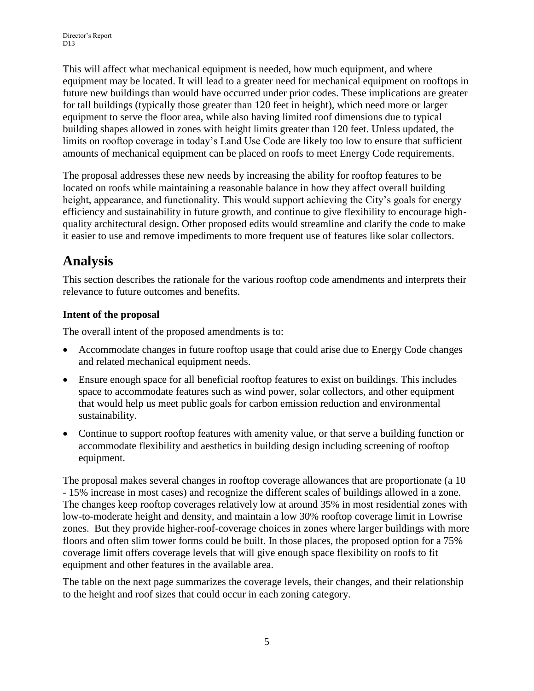This will affect what mechanical equipment is needed, how much equipment, and where equipment may be located. It will lead to a greater need for mechanical equipment on rooftops in future new buildings than would have occurred under prior codes. These implications are greater for tall buildings (typically those greater than 120 feet in height), which need more or larger equipment to serve the floor area, while also having limited roof dimensions due to typical building shapes allowed in zones with height limits greater than 120 feet. Unless updated, the limits on rooftop coverage in today's Land Use Code are likely too low to ensure that sufficient amounts of mechanical equipment can be placed on roofs to meet Energy Code requirements.

The proposal addresses these new needs by increasing the ability for rooftop features to be located on roofs while maintaining a reasonable balance in how they affect overall building height, appearance, and functionality. This would support achieving the City's goals for energy efficiency and sustainability in future growth, and continue to give flexibility to encourage highquality architectural design. Other proposed edits would streamline and clarify the code to make it easier to use and remove impediments to more frequent use of features like solar collectors.

# **Analysis**

This section describes the rationale for the various rooftop code amendments and interprets their relevance to future outcomes and benefits.

# **Intent of the proposal**

The overall intent of the proposed amendments is to:

- Accommodate changes in future rooftop usage that could arise due to Energy Code changes and related mechanical equipment needs.
- Ensure enough space for all beneficial rooftop features to exist on buildings. This includes space to accommodate features such as wind power, solar collectors, and other equipment that would help us meet public goals for carbon emission reduction and environmental sustainability.
- Continue to support rooftop features with amenity value, or that serve a building function or accommodate flexibility and aesthetics in building design including screening of rooftop equipment.

The proposal makes several changes in rooftop coverage allowances that are proportionate (a 10 - 15% increase in most cases) and recognize the different scales of buildings allowed in a zone. The changes keep rooftop coverages relatively low at around 35% in most residential zones with low-to-moderate height and density, and maintain a low 30% rooftop coverage limit in Lowrise zones. But they provide higher-roof-coverage choices in zones where larger buildings with more floors and often slim tower forms could be built. In those places, the proposed option for a 75% coverage limit offers coverage levels that will give enough space flexibility on roofs to fit equipment and other features in the available area.

The table on the next page summarizes the coverage levels, their changes, and their relationship to the height and roof sizes that could occur in each zoning category.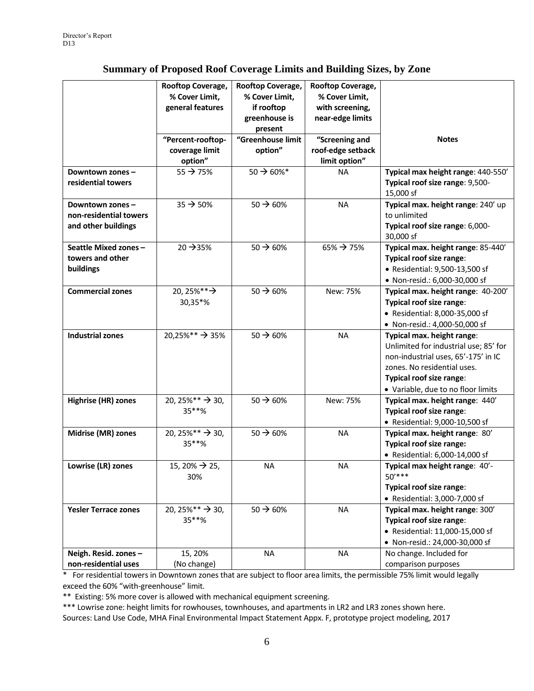## **Summary of Proposed Roof Coverage Limits and Building Sizes, by Zone**

|                                                                  | Rooftop Coverage,<br>% Cover Limit,<br>general features<br>"Percent-rooftop- | Rooftop Coverage,<br>% Cover Limit,<br>if rooftop<br>greenhouse is<br>present<br>"Greenhouse limit | Rooftop Coverage,<br>% Cover Limit,<br>with screening,<br>near-edge limits<br>"Screening and | <b>Notes</b>                                                                                                                                                                                                |
|------------------------------------------------------------------|------------------------------------------------------------------------------|----------------------------------------------------------------------------------------------------|----------------------------------------------------------------------------------------------|-------------------------------------------------------------------------------------------------------------------------------------------------------------------------------------------------------------|
|                                                                  | coverage limit<br>option"                                                    | option"                                                                                            | roof-edge setback<br>limit option"                                                           |                                                                                                                                                                                                             |
| Downtown zones-<br>residential towers                            | $55 \rightarrow 75\%$                                                        | $50 \rightarrow 60\%$ *                                                                            | <b>NA</b>                                                                                    | Typical max height range: 440-550'<br>Typical roof size range: 9,500-<br>15,000 sf                                                                                                                          |
| Downtown zones-<br>non-residential towers<br>and other buildings | $35 \rightarrow 50\%$                                                        | $50 \rightarrow 60\%$                                                                              | <b>NA</b>                                                                                    | Typical max. height range: 240' up<br>to unlimited<br>Typical roof size range: 6,000-<br>30,000 sf                                                                                                          |
| Seattle Mixed zones-<br>towers and other<br>buildings            | 20 → 35%                                                                     | $50 \rightarrow 60\%$                                                                              | $65\% \rightarrow 75\%$                                                                      | Typical max. height range: 85-440'<br>Typical roof size range:<br>• Residential: 9,500-13,500 sf<br>• Non-resid.: 6,000-30,000 sf                                                                           |
| <b>Commercial zones</b>                                          | 20, 25%** $\rightarrow$<br>30,35*%                                           | $50 \rightarrow 60\%$                                                                              | New: 75%                                                                                     | Typical max. height range: 40-200'<br>Typical roof size range:<br>• Residential: 8,000-35,000 sf<br>• Non-resid.: 4,000-50,000 sf                                                                           |
| <b>Industrial zones</b>                                          | 20,25%** > 35%                                                               | $50 \rightarrow 60\%$                                                                              | <b>NA</b>                                                                                    | Typical max. height range:<br>Unlimited for industrial use; 85' for<br>non-industrial uses, 65'-175' in IC<br>zones. No residential uses.<br>Typical roof size range:<br>• Variable, due to no floor limits |
| Highrise (HR) zones                                              | 20, 25%** $\rightarrow$ 30,<br>35**%                                         | $50 \rightarrow 60\%$                                                                              | New: 75%                                                                                     | Typical max. height range: 440'<br>Typical roof size range:<br>• Residential: 9,000-10,500 sf                                                                                                               |
| Midrise (MR) zones                                               | 20, 25%** $\rightarrow$ 30,<br>35**%                                         | $50 \rightarrow 60\%$                                                                              | <b>NA</b>                                                                                    | Typical max. height range: 80'<br>Typical roof size range:<br>• Residential: 6,000-14,000 sf                                                                                                                |
| Lowrise (LR) zones                                               | 15, 20% $\rightarrow$ 25,<br>30%                                             | NA                                                                                                 | <b>NA</b>                                                                                    | Typical max height range: 40'-<br>$50***$<br>Typical roof size range:<br>• Residential: 3,000-7,000 sf                                                                                                      |
| <b>Yesler Terrace zones</b>                                      | 20, 25%** $\rightarrow$ 30,<br>35**%                                         | $50 \rightarrow 60\%$                                                                              | <b>NA</b>                                                                                    | Typical max. height range: 300'<br>Typical roof size range:<br>• Residential: 11,000-15,000 sf<br>• Non-resid.: 24,000-30,000 sf                                                                            |
| Neigh. Resid. zones -<br>non-residential uses                    | 15, 20%<br>(No change)                                                       | <b>NA</b>                                                                                          | <b>NA</b>                                                                                    | No change. Included for<br>comparison purposes                                                                                                                                                              |

 $*$  For residential towers in Downtown zones that are subject to floor area limits, the permissible 75% limit would legally exceed the 60% "with-greenhouse" limit.

\*\* Existing: 5% more cover is allowed with mechanical equipment screening.

\*\*\* Lowrise zone: height limits for rowhouses, townhouses, and apartments in LR2 and LR3 zones shown here. Sources: Land Use Code, MHA Final Environmental Impact Statement Appx. F, prototype project modeling, 2017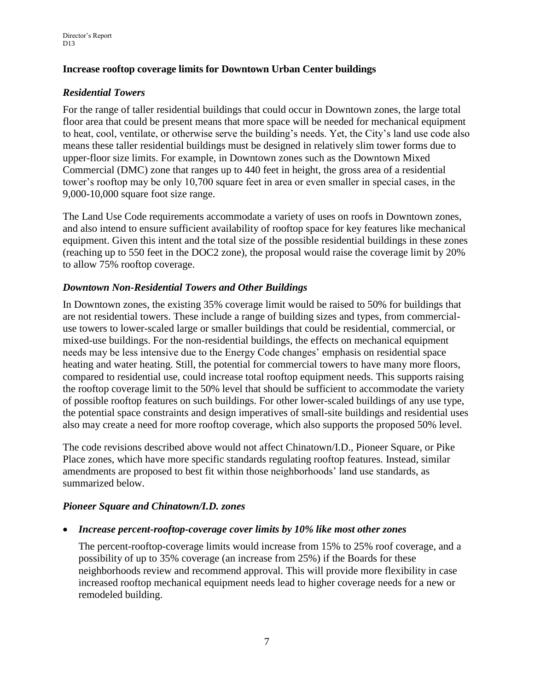### **Increase rooftop coverage limits for Downtown Urban Center buildings**

## *Residential Towers*

For the range of taller residential buildings that could occur in Downtown zones, the large total floor area that could be present means that more space will be needed for mechanical equipment to heat, cool, ventilate, or otherwise serve the building's needs. Yet, the City's land use code also means these taller residential buildings must be designed in relatively slim tower forms due to upper-floor size limits. For example, in Downtown zones such as the Downtown Mixed Commercial (DMC) zone that ranges up to 440 feet in height, the gross area of a residential tower's rooftop may be only 10,700 square feet in area or even smaller in special cases, in the 9,000-10,000 square foot size range.

The Land Use Code requirements accommodate a variety of uses on roofs in Downtown zones, and also intend to ensure sufficient availability of rooftop space for key features like mechanical equipment. Given this intent and the total size of the possible residential buildings in these zones (reaching up to 550 feet in the DOC2 zone), the proposal would raise the coverage limit by 20% to allow 75% rooftop coverage.

#### *Downtown Non-Residential Towers and Other Buildings*

In Downtown zones, the existing 35% coverage limit would be raised to 50% for buildings that are not residential towers. These include a range of building sizes and types, from commercialuse towers to lower-scaled large or smaller buildings that could be residential, commercial, or mixed-use buildings. For the non-residential buildings, the effects on mechanical equipment needs may be less intensive due to the Energy Code changes' emphasis on residential space heating and water heating. Still, the potential for commercial towers to have many more floors, compared to residential use, could increase total rooftop equipment needs. This supports raising the rooftop coverage limit to the 50% level that should be sufficient to accommodate the variety of possible rooftop features on such buildings. For other lower-scaled buildings of any use type, the potential space constraints and design imperatives of small-site buildings and residential uses also may create a need for more rooftop coverage, which also supports the proposed 50% level.

The code revisions described above would not affect Chinatown/I.D., Pioneer Square, or Pike Place zones, which have more specific standards regulating rooftop features. Instead, similar amendments are proposed to best fit within those neighborhoods' land use standards, as summarized below.

# *Pioneer Square and Chinatown/I.D. zones*

*Increase percent-rooftop-coverage cover limits by 10% like most other zones*

The percent-rooftop-coverage limits would increase from 15% to 25% roof coverage, and a possibility of up to 35% coverage (an increase from 25%) if the Boards for these neighborhoods review and recommend approval. This will provide more flexibility in case increased rooftop mechanical equipment needs lead to higher coverage needs for a new or remodeled building.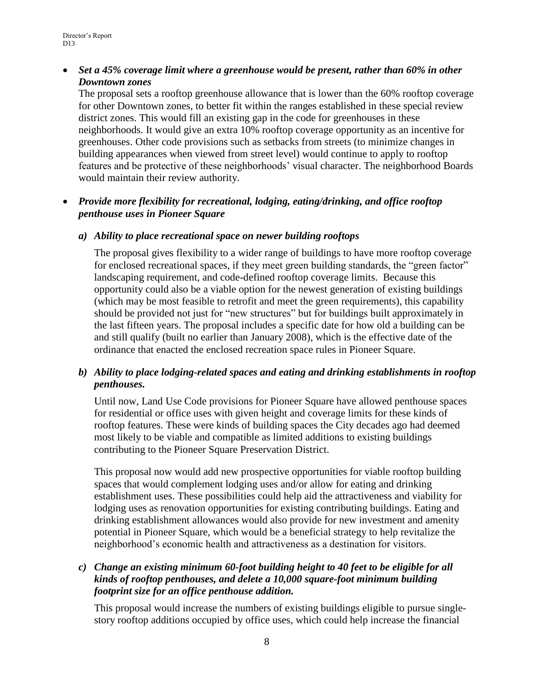#### *Set a 45% coverage limit where a greenhouse would be present, rather than 60% in other Downtown zones*

The proposal sets a rooftop greenhouse allowance that is lower than the 60% rooftop coverage for other Downtown zones, to better fit within the ranges established in these special review district zones. This would fill an existing gap in the code for greenhouses in these neighborhoods. It would give an extra 10% rooftop coverage opportunity as an incentive for greenhouses. Other code provisions such as setbacks from streets (to minimize changes in building appearances when viewed from street level) would continue to apply to rooftop features and be protective of these neighborhoods' visual character. The neighborhood Boards would maintain their review authority.

### *Provide more flexibility for recreational, lodging, eating/drinking, and office rooftop penthouse uses in Pioneer Square*

#### *a) Ability to place recreational space on newer building rooftops*

The proposal gives flexibility to a wider range of buildings to have more rooftop coverage for enclosed recreational spaces, if they meet green building standards, the "green factor" landscaping requirement, and code-defined rooftop coverage limits. Because this opportunity could also be a viable option for the newest generation of existing buildings (which may be most feasible to retrofit and meet the green requirements), this capability should be provided not just for "new structures" but for buildings built approximately in the last fifteen years. The proposal includes a specific date for how old a building can be and still qualify (built no earlier than January 2008), which is the effective date of the ordinance that enacted the enclosed recreation space rules in Pioneer Square.

## *b) Ability to place lodging-related spaces and eating and drinking establishments in rooftop penthouses.*

Until now, Land Use Code provisions for Pioneer Square have allowed penthouse spaces for residential or office uses with given height and coverage limits for these kinds of rooftop features. These were kinds of building spaces the City decades ago had deemed most likely to be viable and compatible as limited additions to existing buildings contributing to the Pioneer Square Preservation District.

This proposal now would add new prospective opportunities for viable rooftop building spaces that would complement lodging uses and/or allow for eating and drinking establishment uses. These possibilities could help aid the attractiveness and viability for lodging uses as renovation opportunities for existing contributing buildings. Eating and drinking establishment allowances would also provide for new investment and amenity potential in Pioneer Square, which would be a beneficial strategy to help revitalize the neighborhood's economic health and attractiveness as a destination for visitors.

#### *c) Change an existing minimum 60-foot building height to 40 feet to be eligible for all kinds of rooftop penthouses, and delete a 10,000 square-foot minimum building footprint size for an office penthouse addition.*

This proposal would increase the numbers of existing buildings eligible to pursue singlestory rooftop additions occupied by office uses, which could help increase the financial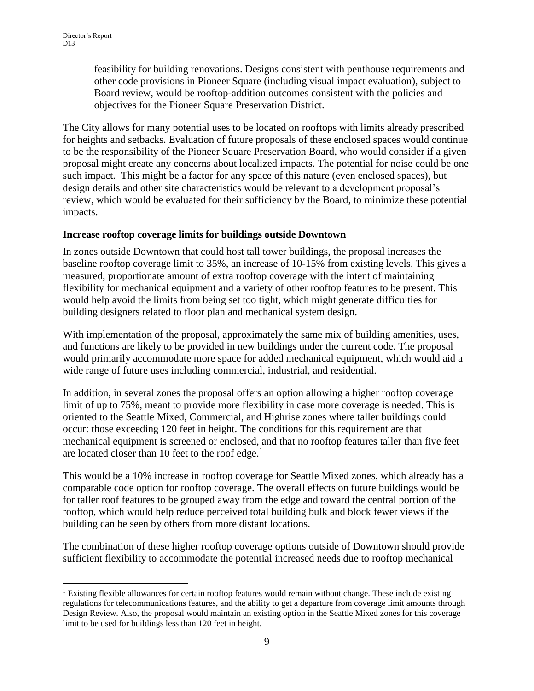$\overline{a}$ 

feasibility for building renovations. Designs consistent with penthouse requirements and other code provisions in Pioneer Square (including visual impact evaluation), subject to Board review, would be rooftop-addition outcomes consistent with the policies and objectives for the Pioneer Square Preservation District.

The City allows for many potential uses to be located on rooftops with limits already prescribed for heights and setbacks. Evaluation of future proposals of these enclosed spaces would continue to be the responsibility of the Pioneer Square Preservation Board, who would consider if a given proposal might create any concerns about localized impacts. The potential for noise could be one such impact. This might be a factor for any space of this nature (even enclosed spaces), but design details and other site characteristics would be relevant to a development proposal's review, which would be evaluated for their sufficiency by the Board, to minimize these potential impacts.

#### **Increase rooftop coverage limits for buildings outside Downtown**

In zones outside Downtown that could host tall tower buildings, the proposal increases the baseline rooftop coverage limit to 35%, an increase of 10-15% from existing levels. This gives a measured, proportionate amount of extra rooftop coverage with the intent of maintaining flexibility for mechanical equipment and a variety of other rooftop features to be present. This would help avoid the limits from being set too tight, which might generate difficulties for building designers related to floor plan and mechanical system design.

With implementation of the proposal, approximately the same mix of building amenities, uses, and functions are likely to be provided in new buildings under the current code. The proposal would primarily accommodate more space for added mechanical equipment, which would aid a wide range of future uses including commercial, industrial, and residential.

In addition, in several zones the proposal offers an option allowing a higher rooftop coverage limit of up to 75%, meant to provide more flexibility in case more coverage is needed. This is oriented to the Seattle Mixed, Commercial, and Highrise zones where taller buildings could occur: those exceeding 120 feet in height. The conditions for this requirement are that mechanical equipment is screened or enclosed, and that no rooftop features taller than five feet are located closer than 10 feet to the roof edge.<sup>1</sup>

This would be a 10% increase in rooftop coverage for Seattle Mixed zones, which already has a comparable code option for rooftop coverage. The overall effects on future buildings would be for taller roof features to be grouped away from the edge and toward the central portion of the rooftop, which would help reduce perceived total building bulk and block fewer views if the building can be seen by others from more distant locations.

The combination of these higher rooftop coverage options outside of Downtown should provide sufficient flexibility to accommodate the potential increased needs due to rooftop mechanical

<sup>&</sup>lt;sup>1</sup> Existing flexible allowances for certain rooftop features would remain without change. These include existing regulations for telecommunications features, and the ability to get a departure from coverage limit amounts through Design Review. Also, the proposal would maintain an existing option in the Seattle Mixed zones for this coverage limit to be used for buildings less than 120 feet in height.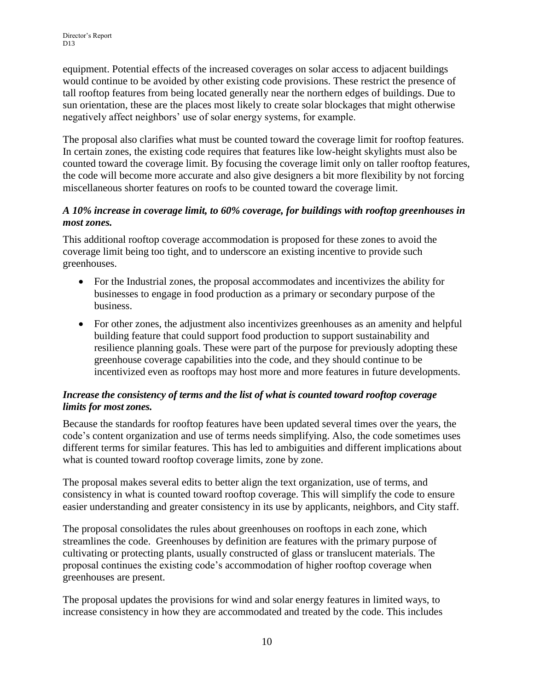equipment. Potential effects of the increased coverages on solar access to adjacent buildings would continue to be avoided by other existing code provisions. These restrict the presence of tall rooftop features from being located generally near the northern edges of buildings. Due to sun orientation, these are the places most likely to create solar blockages that might otherwise negatively affect neighbors' use of solar energy systems, for example.

The proposal also clarifies what must be counted toward the coverage limit for rooftop features. In certain zones, the existing code requires that features like low-height skylights must also be counted toward the coverage limit. By focusing the coverage limit only on taller rooftop features, the code will become more accurate and also give designers a bit more flexibility by not forcing miscellaneous shorter features on roofs to be counted toward the coverage limit.

#### *A 10% increase in coverage limit, to 60% coverage, for buildings with rooftop greenhouses in most zones.*

This additional rooftop coverage accommodation is proposed for these zones to avoid the coverage limit being too tight, and to underscore an existing incentive to provide such greenhouses.

- For the Industrial zones, the proposal accommodates and incentivizes the ability for businesses to engage in food production as a primary or secondary purpose of the business.
- For other zones, the adjustment also incentivizes greenhouses as an amenity and helpful building feature that could support food production to support sustainability and resilience planning goals. These were part of the purpose for previously adopting these greenhouse coverage capabilities into the code, and they should continue to be incentivized even as rooftops may host more and more features in future developments.

## *Increase the consistency of terms and the list of what is counted toward rooftop coverage limits for most zones.*

Because the standards for rooftop features have been updated several times over the years, the code's content organization and use of terms needs simplifying. Also, the code sometimes uses different terms for similar features. This has led to ambiguities and different implications about what is counted toward rooftop coverage limits, zone by zone.

The proposal makes several edits to better align the text organization, use of terms, and consistency in what is counted toward rooftop coverage. This will simplify the code to ensure easier understanding and greater consistency in its use by applicants, neighbors, and City staff.

The proposal consolidates the rules about greenhouses on rooftops in each zone, which streamlines the code. Greenhouses by definition are features with the primary purpose of cultivating or protecting plants, usually constructed of glass or translucent materials. The proposal continues the existing code's accommodation of higher rooftop coverage when greenhouses are present.

The proposal updates the provisions for wind and solar energy features in limited ways, to increase consistency in how they are accommodated and treated by the code. This includes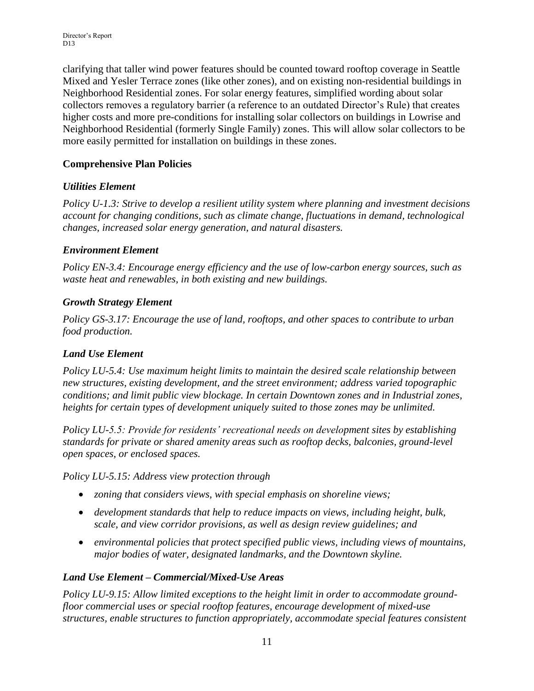clarifying that taller wind power features should be counted toward rooftop coverage in Seattle Mixed and Yesler Terrace zones (like other zones), and on existing non-residential buildings in Neighborhood Residential zones. For solar energy features, simplified wording about solar collectors removes a regulatory barrier (a reference to an outdated Director's Rule) that creates higher costs and more pre-conditions for installing solar collectors on buildings in Lowrise and Neighborhood Residential (formerly Single Family) zones. This will allow solar collectors to be more easily permitted for installation on buildings in these zones.

## **Comprehensive Plan Policies**

## *Utilities Element*

*Policy U-1.3: Strive to develop a resilient utility system where planning and investment decisions account for changing conditions, such as climate change, fluctuations in demand, technological changes, increased solar energy generation, and natural disasters.*

## *Environment Element*

*Policy EN-3.4: Encourage energy efficiency and the use of low-carbon energy sources, such as waste heat and renewables, in both existing and new buildings.*

## *Growth Strategy Element*

*Policy GS-3.17: Encourage the use of land, rooftops, and other spaces to contribute to urban food production.*

# *Land Use Element*

*Policy LU-5.4: Use maximum height limits to maintain the desired scale relationship between new structures, existing development, and the street environment; address varied topographic conditions; and limit public view blockage. In certain Downtown zones and in Industrial zones, heights for certain types of development uniquely suited to those zones may be unlimited.*

*Policy LU-5.5: Provide for residents' recreational needs on development sites by establishing standards for private or shared amenity areas such as rooftop decks, balconies, ground-level open spaces, or enclosed spaces.*

*Policy LU-5.15: Address view protection through*

- *zoning that considers views, with special emphasis on shoreline views;*
- *development standards that help to reduce impacts on views, including height, bulk, scale, and view corridor provisions, as well as design review guidelines; and*
- *environmental policies that protect specified public views, including views of mountains, major bodies of water, designated landmarks, and the Downtown skyline.*

# *Land Use Element – Commercial/Mixed-Use Areas*

*Policy LU-9.15: Allow limited exceptions to the height limit in order to accommodate groundfloor commercial uses or special rooftop features, encourage development of mixed-use structures, enable structures to function appropriately, accommodate special features consistent*